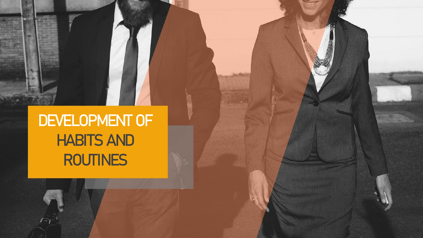**DEVELOPMENT OF HABITS AND ROUTINES**

 $\curvearrowright$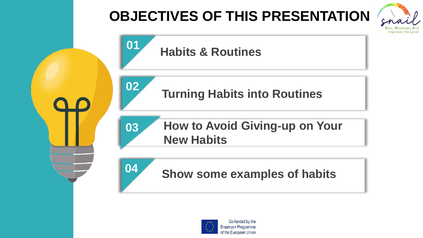



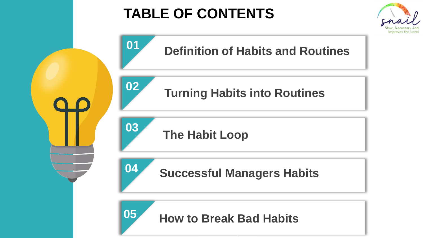## **TABLE OF CONTENTS**



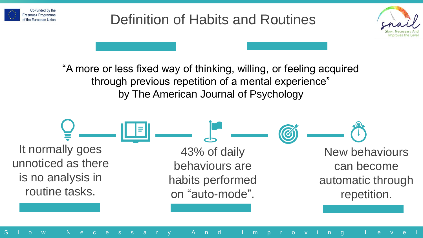

### Definition of Habits and Routines



"A more or less fixed way of thinking, willing, or feeling acquired through previous repetition of a mental experience" by The American Journal of Psychology

New behaviours can become automatic through repetition. 43% of daily behaviours are habits performed on "auto-mode". It normally goes unnoticed as there is no analysis in routine tasks.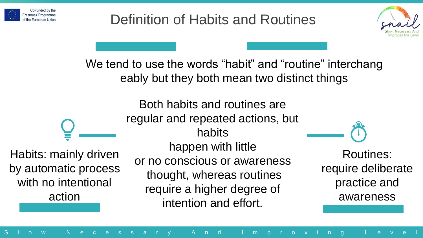



We tend to use the words "habit" and "routine" interchang eably but they both mean two distinct things

Habits: mainly driven by automatic process with no intentional action

regular and repeated actions, but habits happen with little or no conscious or awareness thought, whereas routines require a higher degree of intention and effort.

Both habits and routines are

Routines: require deliberate practice and awareness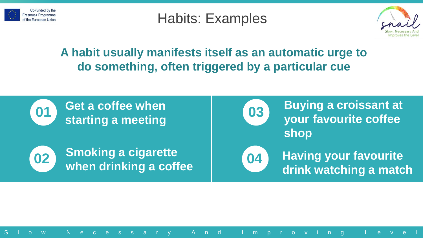

### Habits: Examples



#### **A habit usually manifests itself as an automatic urge to do something, often triggered by a particular cue**

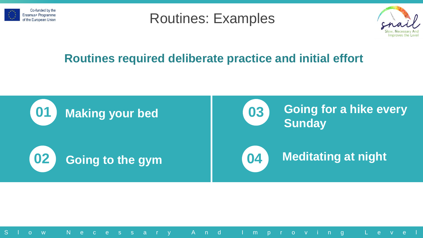





#### **Routines required deliberate practice and initial effort**

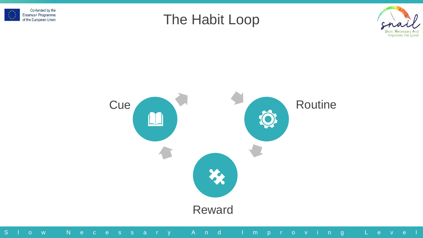





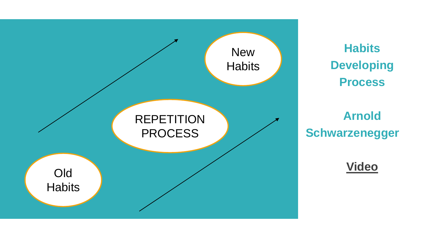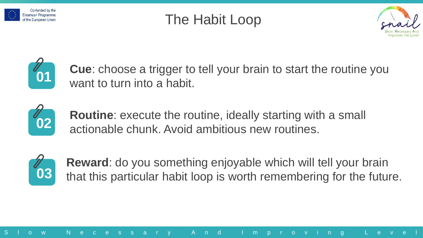







**Cue**: choose a trigger to tell your brain to start the routine you want to turn into a habit.



**Routine**: execute the routine, ideally starting with a small actionable chunk. Avoid ambitious new routines.



**Reward**: do you something enjoyable which will tell your brain that this particular habit loop is worth remembering for the future.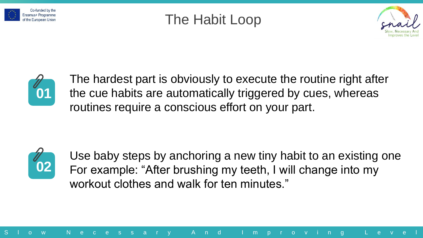







The hardest part is obviously to execute the routine right after the cue habits are automatically triggered by cues, whereas routines require a conscious effort on your part.



Use baby steps by anchoring a new tiny habit to an existing one For example: "After brushing my teeth, I will change into my workout clothes and walk for ten minutes."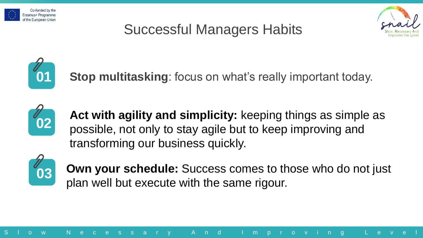

### Successful Managers Habits





**Stop multitasking:** focus on what's really important today.



**Act with agility and simplicity:** keeping things as simple as possible, not only to stay agile but to keep improving and transforming our business quickly.



**Own your schedule:** Success comes to those who do not just plan well but execute with the same rigour.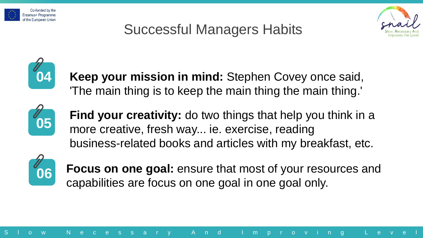

### Successful Managers Habits





**Keep your mission in mind:** Stephen Covey once said, 'The main thing is to keep the main thing the main thing.'



**Find your creativity:** do two things that help you think in a more creative, fresh way... ie. exercise, reading business-related books and articles with my breakfast, etc.



**Focus on one goal:** ensure that most of your resources and capabilities are focus on one goal in one goal only.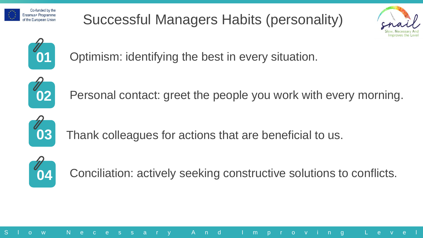

Successful Managers Habits (personality)





Optimism: identifying the best in every situation.



**02** Personal contact: greet the people you work with every morning.



Thank colleagues for actions that are beneficial to us.

S l o w N e c e s s a r y A n d I m p r o v i n g L e v e l



Conciliation: actively seeking constructive solutions to conflicts.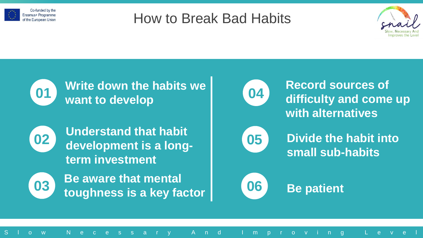

### How to Break Bad Habits



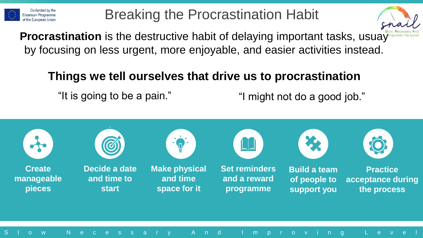

### Breaking the Procrastination Habit



**Procrastination** is the destructive habit of delaying important tasks, usuay by focusing on less urgent, more enjoyable, and easier activities instead.

#### **Things we tell ourselves that drive us to procrastination**

"It is going to be a pain." "I might not do a good job."

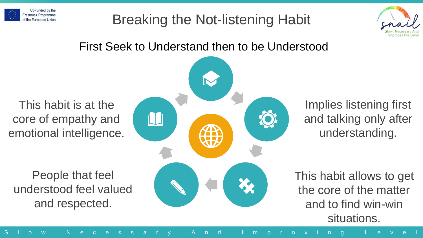

### Breaking the Not-listening Habit



#### First Seek to Understand then to be Understood

This habit is at the core of empathy and emotional intelligence.

People that feel understood feel valued and respected.



Implies listening first and talking only after understanding.

This habit allows to get the core of the matter and to find win-win situations.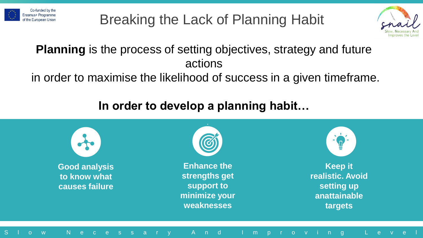

Breaking the Lack of Planning Habit



#### **Planning** is the process of setting objectives, strategy and future actions

in order to maximise the likelihood of success in a given timeframe.

#### **In order to develop a planning habit…**

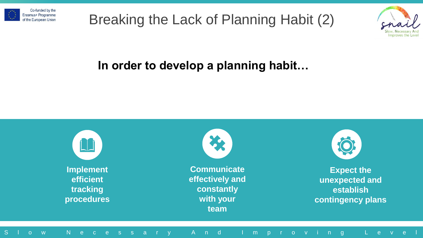





#### **In order to develop a planning habit…**